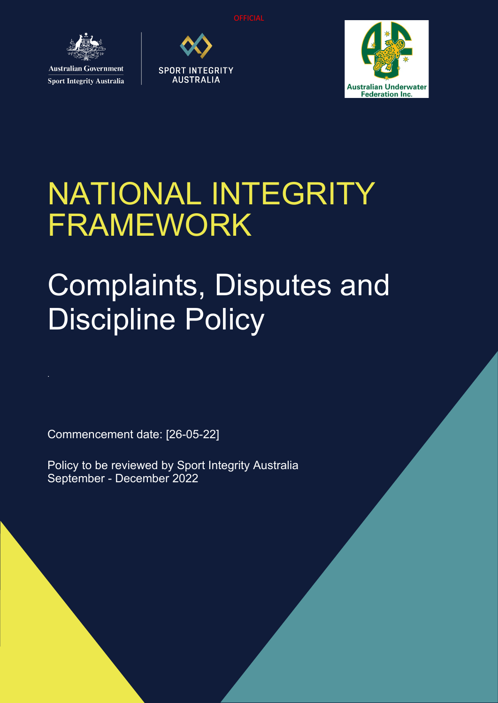

**Sport Integrity Australia** 





# NATIONAL INTEGRITY FRAMEWORK

# Complaints, Disputes and **Discipline Policy**

Commencement date: [26-05-22]

Policy to be reviewed by Sport Integrity Australia September - December 2022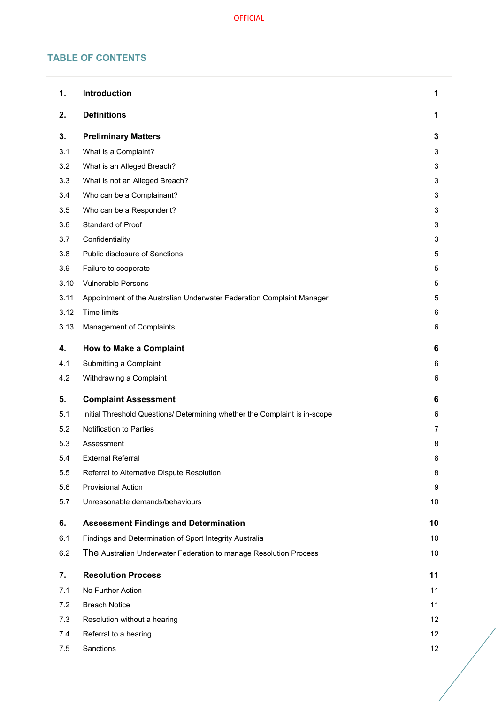# **TABLE OF CONTENTS**

| 1.   | <b>Introduction</b>                                                        | 1              |
|------|----------------------------------------------------------------------------|----------------|
| 2.   | <b>Definitions</b>                                                         |                |
| 3.   | <b>Preliminary Matters</b>                                                 | 3              |
| 3.1  | What is a Complaint?                                                       | 3              |
| 3.2  | What is an Alleged Breach?                                                 | 3              |
| 3.3  | What is not an Alleged Breach?                                             | 3              |
| 3.4  | Who can be a Complainant?                                                  | 3              |
| 3.5  | Who can be a Respondent?                                                   | 3              |
| 3.6  | Standard of Proof                                                          | 3              |
| 3.7  | Confidentiality                                                            | 3              |
| 3.8  | Public disclosure of Sanctions                                             | 5              |
| 3.9  | Failure to cooperate                                                       | 5              |
| 3.10 | <b>Vulnerable Persons</b>                                                  | 5              |
| 3.11 | Appointment of the Australian Underwater Federation Complaint Manager      | 5              |
| 3.12 | Time limits                                                                | 6              |
| 3.13 | Management of Complaints                                                   | 6              |
| 4.   | <b>How to Make a Complaint</b>                                             | 6              |
| 4.1  | Submitting a Complaint                                                     | 6              |
| 4.2  | Withdrawing a Complaint                                                    | 6              |
| 5.   | <b>Complaint Assessment</b>                                                | 6              |
| 5.1  | Initial Threshold Questions/ Determining whether the Complaint is in-scope | 6              |
| 5.2  | Notification to Parties                                                    | $\overline{7}$ |
| 5.3  | Assessment                                                                 | 8              |
| 5.4  | <b>External Referral</b>                                                   | 8              |
| 5.5  | Referral to Alternative Dispute Resolution                                 | 8              |
| 5.6  | <b>Provisional Action</b>                                                  | 9              |
| 5.7  | Unreasonable demands/behaviours                                            | 10             |
| 6.   | <b>Assessment Findings and Determination</b>                               | 10             |
| 6.1  | Findings and Determination of Sport Integrity Australia                    | 10             |
| 6.2  | The Australian Underwater Federation to manage Resolution Process          | 10             |
| 7.   | <b>Resolution Process</b>                                                  | 11             |
| 7.1  | No Further Action                                                          | 11             |
| 7.2  | <b>Breach Notice</b>                                                       | 11             |
| 7.3  | Resolution without a hearing                                               | 12             |
| 7.4  | Referral to a hearing                                                      | 12             |
| 7.5  | Sanctions                                                                  | 12             |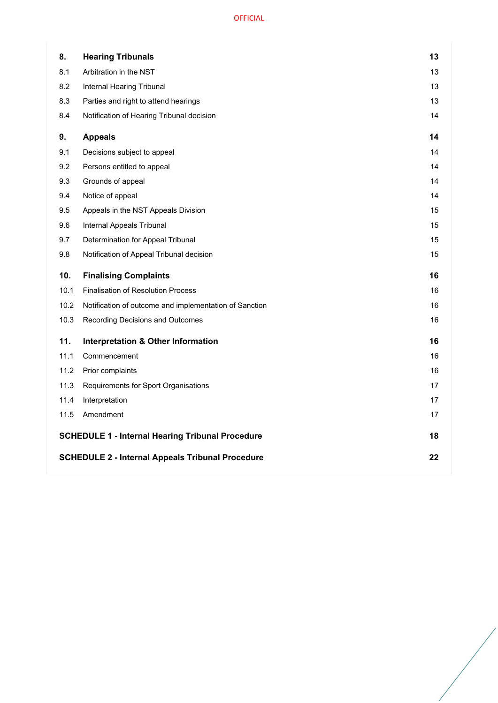| 8.   | <b>Hearing Tribunals</b>                                | 13 |
|------|---------------------------------------------------------|----|
| 8.1  | Arbitration in the NST                                  | 13 |
| 8.2  | Internal Hearing Tribunal                               | 13 |
| 8.3  | Parties and right to attend hearings                    | 13 |
| 8.4  | Notification of Hearing Tribunal decision               | 14 |
| 9.   | <b>Appeals</b>                                          | 14 |
| 9.1  | Decisions subject to appeal                             | 14 |
| 9.2  | Persons entitled to appeal                              | 14 |
| 9.3  | Grounds of appeal                                       | 14 |
| 9.4  | Notice of appeal                                        | 14 |
| 9.5  | Appeals in the NST Appeals Division                     | 15 |
| 9.6  | Internal Appeals Tribunal                               | 15 |
| 9.7  | Determination for Appeal Tribunal                       | 15 |
| 9.8  | Notification of Appeal Tribunal decision                | 15 |
| 10.  | <b>Finalising Complaints</b>                            | 16 |
| 10.1 | <b>Finalisation of Resolution Process</b>               | 16 |
| 10.2 | Notification of outcome and implementation of Sanction  | 16 |
| 10.3 | Recording Decisions and Outcomes                        | 16 |
| 11.  | <b>Interpretation &amp; Other Information</b>           | 16 |
| 11.1 | Commencement                                            | 16 |
| 11.2 | Prior complaints                                        | 16 |
| 11.3 | Requirements for Sport Organisations                    | 17 |
|      |                                                         |    |
| 11.4 | Interpretation                                          | 17 |
| 11.5 | Amendment                                               | 17 |
|      | <b>SCHEDULE 1 - Internal Hearing Tribunal Procedure</b> | 18 |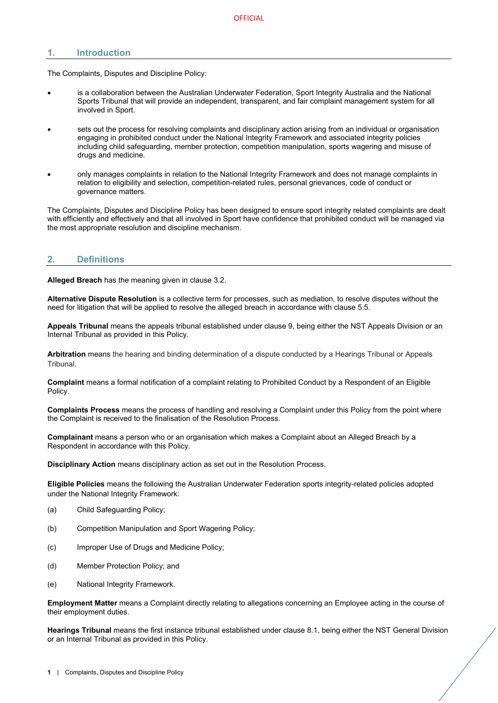# <span id="page-3-0"></span>**1. Introduction**

The Complaints, Disputes and Discipline Policy:

- is a collaboration between the Australian Underwater Federation, Sport Integrity Australia and the National Sports Tribunal that will provide an independent, transparent, and fair complaint management system for all involved in Sport.
- sets out the process for resolving complaints and disciplinary action arising from an individual or organisation engaging in prohibited conduct under the National Integrity Framework and associated integrity policies including child safeguarding, member protection, competition manipulation, sports wagering and misuse of drugs and medicine.
- only manages complaints in relation to the National Integrity Framework and does not manage complaints in relation to eligibility and selection, competition-related rules, personal grievances, code of conduct or governance matters.

The Complaints, Disputes and Discipline Policy has been designed to ensure sport integrity related complaints are dealt with efficiently and effectively and that all involved in Sport have confidence that prohibited conduct will be managed via the most appropriate resolution and discipline mechanism.

# <span id="page-3-1"></span>**2. Definitions**

**Alleged Breach** has the meaning given in clause [3.2.](#page-5-2)

**Alternative Dispute Resolution** is a collective term for processes, such as mediation, to resolve disputes without the need for litigation that will be applied to resolve the alleged breach in accordance with clause [5.5.](#page-10-2)

**Appeals Tribunal** means the appeals tribunal established under clause [9,](#page-16-1) being either the NST Appeals Division or an Internal Tribunal as provided in this Policy.

**Arbitration** means the hearing and binding determination of a dispute conducted by a Hearings Tribunal or Appeals Tribunal.

**Complaint** means a formal notification of a complaint relating to Prohibited Conduct by a Respondent of an Eligible Policy.

**Complaints Process** means the process of handling and resolving a Complaint under this Policy from the point where the Complaint is received to the finalisation of the Resolution Process.

**Complainant** means a person who or an organisation which makes a Complaint about an Alleged Breach by a Respondent in accordance with this Policy.

**Disciplinary Action** means disciplinary action as set out in the Resolution Process.

**Eligible Policies** means the following the Australian Underwater Federation sports integrity-related policies adopted under the National Integrity Framework:

- (a) Child Safeguarding Policy;
- (b) Competition Manipulation and Sport Wagering Policy;
- (c) Improper Use of Drugs and Medicine Policy;
- (d) Member Protection Policy; and
- (e) National Integrity Framework.

**Employment Matter** means a Complaint directly relating to allegations concerning an Employee acting in the course of their employment duties.

**Hearings Tribunal** means the first instance tribunal established under clause [8.1,](#page-15-1) being either the NST General Division or an Internal Tribunal as provided in this Policy.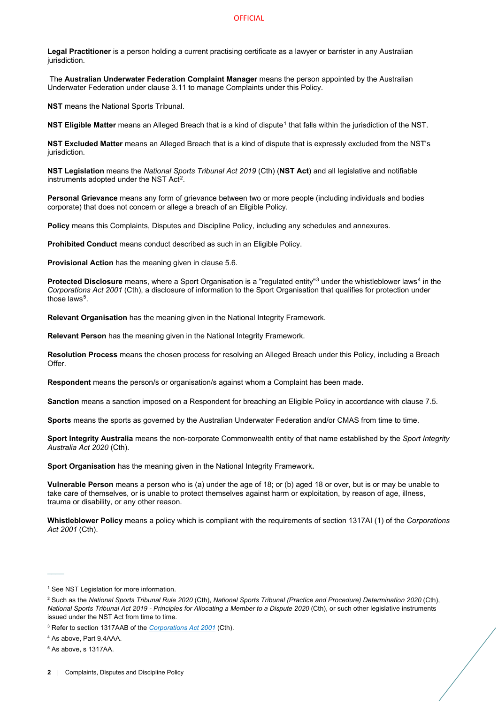**Legal Practitioner** is a person holding a current practising certificate as a lawyer or barrister in any Australian jurisdiction.

The **Australian Underwater Federation Complaint Manager** means the person appointed by the Australian Underwater Federation under clause [3.11](#page-7-3) to manage Complaints under this Policy.

**NST** means the National Sports Tribunal.

**NST Eligible Matter** means an Alleged Breach that is a kind of dispute<sup>[1](#page-4-0)</sup> that falls within the jurisdiction of the NST.

**NST Excluded Matter** means an Alleged Breach that is a kind of dispute that is expressly excluded from the NST's jurisdiction.

**NST Legislation** means the *National Sports Tribunal Act 2019* (Cth) (**NST Act**) and all legislative and notifiable instruments adopted under the NST Act<sup>2</sup>.

**Personal Grievance** means any form of grievance between two or more people (including individuals and bodies corporate) that does not concern or allege a breach of an Eligible Policy.

**Policy** means this Complaints, Disputes and Discipline Policy, including any schedules and annexures.

**Prohibited Conduct** means conduct described as such in an Eligible Policy.

**Provisional Action** has the meaning given in clause [5.6.](#page-11-0)

**Protected Disclosure** means, where a Sport Organisation is a "regulated entity"<sup>[3](#page-4-2)</sup> under the whistleblower laws<sup>[4](#page-4-3)</sup> in the *Corporations Act 2001* (Cth), a disclosure of information to the Sport Organisation that qualifies for protection under those laws<sup>[5](#page-4-4)</sup>.

**Relevant Organisation** has the meaning given in the National Integrity Framework.

**Relevant Person** has the meaning given in the National Integrity Framework.

**Resolution Process** means the chosen process for resolving an Alleged Breach under this Policy, including a Breach Offer.

**Respondent** means the person/s or organisation/s against whom a Complaint has been made.

**Sanction** means a sanction imposed on a Respondent for breaching an Eligible Policy in accordance with clause [7.5.](#page-14-2)

**Sports** means the sports as governed by the Australian Underwater Federation and/or CMAS from time to time.

**Sport Integrity Australia** means the non-corporate Commonwealth entity of that name established by the *Sport Integrity Australia Act 2020* (Cth).

**Sport Organisation** has the meaning given in the National Integrity Framework**.**

**Vulnerable Person** means a person who is (a) under the age of 18; or (b) aged 18 or over, but is or may be unable to take care of themselves, or is unable to protect themselves against harm or exploitation, by reason of age, illness, trauma or disability, or any other reason.

**Whistleblower Policy** means a policy which is compliant with the requirements of section 1317AI (1) of the *Corporations Act 2001* (Cth).

 $\overline{\phantom{a}}$ 

<span id="page-4-0"></span><sup>&</sup>lt;sup>1</sup> See NST Legislation for more information.

<span id="page-4-1"></span><sup>2</sup> Such as the *National Sports Tribunal Rule 2020* (Cth), *National Sports Tribunal (Practice and Procedure) Determination 2020* (Cth), *National Sports Tribunal Act 2019 - Principles for Allocating a Member to a Dispute 2020* (Cth), or such other legislative instruments issued under the NST Act from time to time.

<span id="page-4-2"></span><sup>3</sup> Refer to section 1317AAB of the *[Corporations Act 2001](https://www.legislation.gov.au/Details/C2020C00093/Html/Volume_5#_Toc33706032)* (Cth).

<span id="page-4-3"></span><sup>4</sup> As above, Part 9.4AAA.

<span id="page-4-4"></span><sup>5</sup> As above, s 1317AA.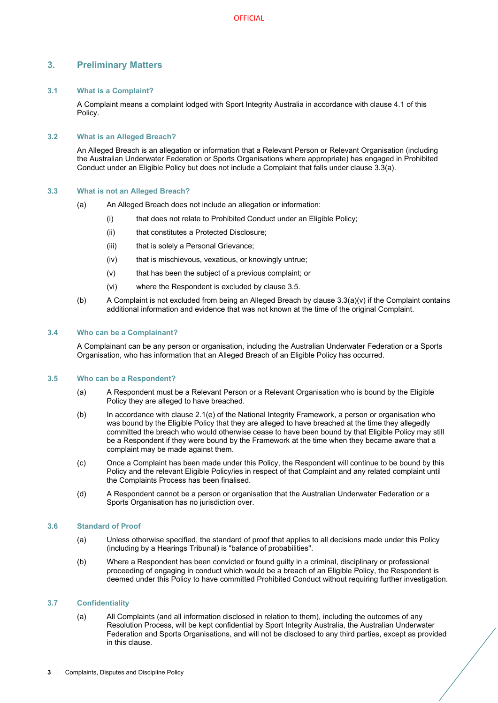# <span id="page-5-0"></span>**3. Preliminary Matters**

# <span id="page-5-1"></span>**3.1 What is a Complaint?**

A Complaint means a complaint lodged with Sport Integrity Australia in accordance with clause [4.1](#page-8-3) of this Policy.

# <span id="page-5-2"></span>**3.2 What is an Alleged Breach?**

An Alleged Breach is an allegation or information that a Relevant Person or Relevant Organisation (including the Australian Underwater Federation or Sports Organisations where appropriate) has engaged in Prohibited Conduct under an Eligible Policy but does not include a Complaint that falls under clause [3.3\(](#page-5-3)a).

# <span id="page-5-3"></span>**3.3 What is not an Alleged Breach?**

- (a) An Alleged Breach does not include an allegation or information:
	- (i) that does not relate to Prohibited Conduct under an Eligible Policy;
	- (ii) that constitutes a Protected Disclosure;
	- (iii) that is solely a Personal Grievance;
	- (iv) that is mischievous, vexatious, or knowingly untrue;
	- (v) that has been the subject of a previous complaint; or
	- (vi) where the Respondent is excluded by clause [3.5.](#page-5-5)
- <span id="page-5-8"></span>(b) A Complaint is not excluded from being an Alleged Breach by clause  $3.3(a)(v)$  $3.3(a)(v)$  if the Complaint contains additional information and evidence that was not known at the time of the original Complaint.

# <span id="page-5-4"></span>**3.4 Who can be a Complainant?**

A Complainant can be any person or organisation, including the Australian Underwater Federation or a Sports Organisation, who has information that an Alleged Breach of an Eligible Policy has occurred.

# <span id="page-5-5"></span>**3.5 Who can be a Respondent?**

- (a) A Respondent must be a Relevant Person or a Relevant Organisation who is bound by the Eligible Policy they are alleged to have breached.
- (b) In accordance with clause 2.1(e) of the National Integrity Framework, a person or organisation who was bound by the Eligible Policy that they are alleged to have breached at the time they allegedly committed the breach who would otherwise cease to have been bound by that Eligible Policy may still be a Respondent if they were bound by the Framework at the time when they became aware that a complaint may be made against them.
- (c) Once a Complaint has been made under this Policy, the Respondent will continue to be bound by this Policy and the relevant Eligible Policy/ies in respect of that Complaint and any related complaint until the Complaints Process has been finalised.
- (d) A Respondent cannot be a person or organisation that the Australian Underwater Federation or a Sports Organisation has no jurisdiction over.

# <span id="page-5-6"></span>**3.6 Standard of Proof**

- (a) Unless otherwise specified, the standard of proof that applies to all decisions made under this Policy (including by a Hearings Tribunal) is "balance of probabilities".
- (b) Where a Respondent has been convicted or found guilty in a criminal, disciplinary or professional proceeding of engaging in conduct which would be a breach of an Eligible Policy, the Respondent is deemed under this Policy to have committed Prohibited Conduct without requiring further investigation.

# <span id="page-5-7"></span>**3.7 Confidentiality**

(a) All Complaints (and all information disclosed in relation to them), including the outcomes of any Resolution Process, will be kept confidential by Sport Integrity Australia, the Australian Underwater Federation and Sports Organisations, and will not be disclosed to any third parties, except as provided in this clause.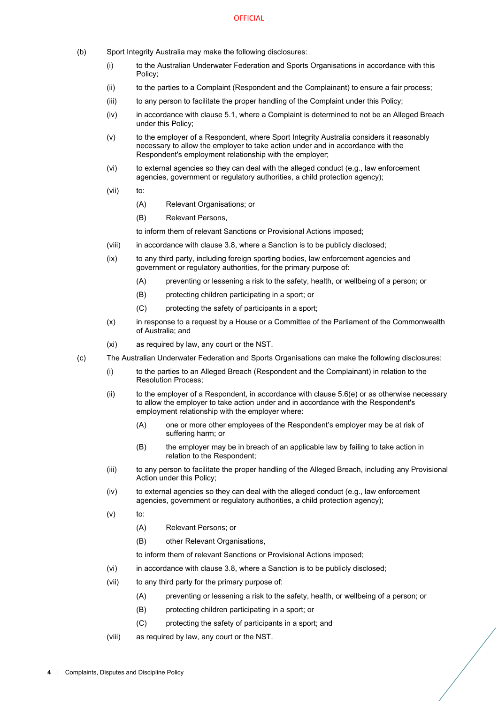- (b) Sport Integrity Australia may make the following disclosures:
	- (i) to the Australian Underwater Federation and Sports Organisations in accordance with this Policy;
	- (ii) to the parties to a Complaint (Respondent and the Complainant) to ensure a fair process;
	- (iii) to any person to facilitate the proper handling of the Complaint under this Policy;
	- (iv) in accordance with claus[e 5.1,](#page-8-6) where a Complaint is determined to not be an Alleged Breach under this Policy;
	- (v) to the employer of a Respondent, where Sport Integrity Australia considers it reasonably necessary to allow the employer to take action under and in accordance with the Respondent's employment relationship with the employer;
	- (vi) to external agencies so they can deal with the alleged conduct (e.g., law enforcement agencies, government or regulatory authorities, a child protection agency);
	- (vii) to:
		- (A) Relevant Organisations; or
		- (B) Relevant Persons,
		- to inform them of relevant Sanctions or Provisional Actions imposed;
	- (viii) in accordance with claus[e 3.8,](#page-7-0) where a Sanction is to be publicly disclosed;
	- (ix) to any third party, including foreign sporting bodies, law enforcement agencies and government or regulatory authorities, for the primary purpose of:
		- (A) preventing or lessening a risk to the safety, health, or wellbeing of a person; or
		- (B) protecting children participating in a sport; or
		- (C) protecting the safety of participants in a sport;
	- (x) in response to a request by a House or a Committee of the Parliament of the Commonwealth of Australia; and
	- (xi) as required by law, any court or the NST.
- <span id="page-6-1"></span><span id="page-6-0"></span>(c) The Australian Underwater Federation and Sports Organisations can make the following disclosures:
	- (i) to the parties to an Alleged Breach (Respondent and the Complainant) in relation to the Resolution Process;
	- $(iii)$  to the employer of a Respondent, in accordance with clause [5.6\(e\)](#page-12-4) or as otherwise necessary to allow the employer to take action under and in accordance with the Respondent's employment relationship with the employer where:
		- (A) one or more other employees of the Respondent's employer may be at risk of suffering harm; or
		- (B) the employer may be in breach of an applicable law by failing to take action in relation to the Respondent;
	- (iii) to any person to facilitate the proper handling of the Alleged Breach, including any Provisional Action under this Policy;
	- $(iv)$  to external agencies so they can deal with the alleged conduct  $(e.g., law enforcement)$ agencies, government or regulatory authorities, a child protection agency);
	- $(v)$  to:
		- (A) Relevant Persons; or
		- (B) other Relevant Organisations,
		- to inform them of relevant Sanctions or Provisional Actions imposed;
	- (vi) in accordance with claus[e 3.8,](#page-7-0) where a Sanction is to be publicly disclosed;
	- (vii) to any third party for the primary purpose of:
		- (A) preventing or lessening a risk to the safety, health, or wellbeing of a person; or
		- (B) protecting children participating in a sport; or
		- (C) protecting the safety of participants in a sport; and
	- (viii) as required by law, any court or the NST.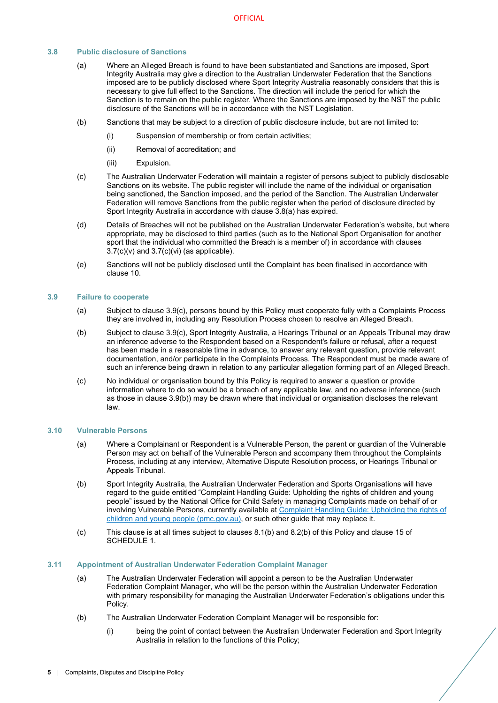# <span id="page-7-4"></span><span id="page-7-0"></span>**3.8 Public disclosure of Sanctions**

- (a) Where an Alleged Breach is found to have been substantiated and Sanctions are imposed, Sport Integrity Australia may give a direction to the Australian Underwater Federation that the Sanctions imposed are to be publicly disclosed where Sport Integrity Australia reasonably considers that this is necessary to give full effect to the Sanctions. The direction will include the period for which the Sanction is to remain on the public register. Where the Sanctions are imposed by the NST the public disclosure of the Sanctions will be in accordance with the NST Legislation.
- (b) Sanctions that may be subject to a direction of public disclosure include, but are not limited to:
	- (i) Suspension of membership or from certain activities;
	- (ii) Removal of accreditation; and
	- (iii) Expulsion.
- <span id="page-7-7"></span>(c) The Australian Underwater Federation will maintain a register of persons subject to publicly disclosable Sanctions on its website. The public register will include the name of the individual or organisation being sanctioned, the Sanction imposed, and the period of the Sanction. The Australian Underwater Federation will remove Sanctions from the public register when the period of disclosure directed by Sport Integrity Australia in accordance with clause [3.8](#page-7-0)[\(a\)](#page-7-4) has expired.
- (d) Details of Breaches will not be published on the Australian Underwater Federation's website, but where appropriate, may be disclosed to third parties (such as to the National Sport Organisation for another sport that the individual who committed the Breach is a member of) in accordance with clauses  $3.7(c)(v)$  $3.7(c)(v)$  and  $3.7(c)(vi)$  $3.7(c)(vi)$  (as applicable).
- (e) Sanctions will not be publicly disclosed until the Complaint has been finalised in accordance with clause [10.](#page-18-0)

#### <span id="page-7-1"></span>**3.9 Failure to cooperate**

- (a) Subject to clause [3.9](#page-7-1)[\(c\),](#page-7-5) persons bound by this Policy must cooperate fully with a Complaints Process they are involved in, including any Resolution Process chosen to resolve an Alleged Breach.
- <span id="page-7-6"></span>(b) Subject to clause [3.9](#page-7-1)[\(c\),](#page-7-5) Sport Integrity Australia, a Hearings Tribunal or an Appeals Tribunal may draw an inference adverse to the Respondent based on a Respondent's failure or refusal, after a request has been made in a reasonable time in advance, to answer any relevant question, provide relevant documentation, and/or participate in the Complaints Process. The Respondent must be made aware of such an inference being drawn in relation to any particular allegation forming part of an Alleged Breach.
- <span id="page-7-5"></span>(c) No individual or organisation bound by this Policy is required to answer a question or provide information where to do so would be a breach of any applicable law, and no adverse inference (such as those in clause [3.9](#page-7-1)[\(b\)\)](#page-7-6) may be drawn where that individual or organisation discloses the relevant law.

#### <span id="page-7-2"></span>**3.10 Vulnerable Persons**

- (a) Where a Complainant or Respondent is a Vulnerable Person, the parent or guardian of the Vulnerable Person may act on behalf of the Vulnerable Person and accompany them throughout the Complaints Process, including at any interview, Alternative Dispute Resolution process, or Hearings Tribunal or Appeals Tribunal.
- (b) Sport Integrity Australia, the Australian Underwater Federation and Sports Organisations will have regard to the guide entitled "Complaint Handling Guide: Upholding the rights of children and young people" issued by the National Office for Child Safety in managing Complaints made on behalf of or involving Vulnerable Persons, currently available a[t Complaint Handling Guide: Upholding the rights of](https://childsafety.pmc.gov.au/sites/default/files/2020-09/nocs-complaint-handling-guide.pdf)  [children and young people \(pmc.gov.au\),](https://childsafety.pmc.gov.au/sites/default/files/2020-09/nocs-complaint-handling-guide.pdf) or such other guide that may replace it.
- (c) This clause is at all times subject to clauses [8.1\(b\)](#page-15-4) an[d 8.2\(b\)](#page-15-5) of this Policy and clause 15 of [SCHEDULE 1.](#page-20-0)

#### <span id="page-7-3"></span>**3.11 Appointment of Australian Underwater Federation Complaint Manager**

- (a) The Australian Underwater Federation will appoint a person to be the Australian Underwater Federation Complaint Manager, who will be the person within the Australian Underwater Federation with primary responsibility for managing the Australian Underwater Federation's obligations under this Policy.
- (b) The Australian Underwater Federation Complaint Manager will be responsible for:
	- (i) being the point of contact between the Australian Underwater Federation and Sport Integrity Australia in relation to the functions of this Policy;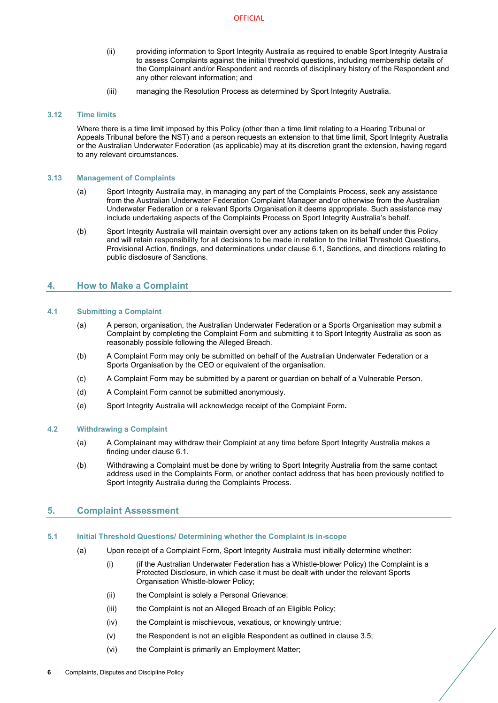- (ii) providing information to Sport Integrity Australia as required to enable Sport Integrity Australia to assess Complaints against the initial threshold questions, including membership details of the Complainant and/or Respondent and records of disciplinary history of the Respondent and any other relevant information; and
- (iii) managing the Resolution Process as determined by Sport Integrity Australia.

# <span id="page-8-0"></span>**3.12 Time limits**

Where there is a time limit imposed by this Policy (other than a time limit relating to a Hearing Tribunal or Appeals Tribunal before the NST) and a person requests an extension to that time limit, Sport Integrity Australia or the Australian Underwater Federation (as applicable) may at its discretion grant the extension, having regard to any relevant circumstances.

# <span id="page-8-1"></span>**3.13 Management of Complaints**

- (a) Sport Integrity Australia may, in managing any part of the Complaints Process, seek any assistance from the Australian Underwater Federation Complaint Manager and/or otherwise from the Australian Underwater Federation or a relevant Sports Organisation it deems appropriate. Such assistance may include undertaking aspects of the Complaints Process on Sport Integrity Australia's behalf.
- (b) Sport Integrity Australia will maintain oversight over any actions taken on its behalf under this Policy and will retain responsibility for all decisions to be made in relation to the Initial Threshold Questions, Provisional Action, findings, and determinations under clause [6.1,](#page-12-2) Sanctions, and directions relating to public disclosure of Sanctions.

# <span id="page-8-2"></span>**4. How to Make a Complaint**

# <span id="page-8-3"></span>**4.1 Submitting a Complaint**

- (a) A person, organisation, the Australian Underwater Federation or a Sports Organisation may submit a Complaint by completing the Complaint Form and submitting it to Sport Integrity Australia as soon as reasonably possible following the Alleged Breach.
- (b) A Complaint Form may only be submitted on behalf of the Australian Underwater Federation or a Sports Organisation by the CEO or equivalent of the organisation.
- (c) A Complaint Form may be submitted by a parent or guardian on behalf of a Vulnerable Person.
- (d) A Complaint Form cannot be submitted anonymously.
- (e) Sport Integrity Australia will acknowledge receipt of the Complaint Form**.**

# <span id="page-8-4"></span>**4.2 Withdrawing a Complaint**

- (a) A Complainant may withdraw their Complaint at any time before Sport Integrity Australia makes a finding under claus[e 6.1.](#page-12-2)
- (b) Withdrawing a Complaint must be done by writing to Sport Integrity Australia from the same contact address used in the Complaints Form, or another contact address that has been previously notified to Sport Integrity Australia during the Complaints Process.

# <span id="page-8-5"></span>**5. Complaint Assessment**

# <span id="page-8-7"></span><span id="page-8-6"></span>**5.1 Initial Threshold Questions/ Determining whether the Complaint is in-scope**

- <span id="page-8-9"></span><span id="page-8-8"></span>(a) Upon receipt of a Complaint Form, Sport Integrity Australia must initially determine whether:
	- (i) (if the Australian Underwater Federation has a Whistle-blower Policy) the Complaint is a Protected Disclosure, in which case it must be dealt with under the relevant Sports Organisation Whistle-blower Policy;
	- (ii) the Complaint is solely a Personal Grievance;
	- (iii) the Complaint is not an Alleged Breach of an Eligible Policy;
	- (iv) the Complaint is mischievous, vexatious, or knowingly untrue;
	- (v) the Respondent is not an eligible Respondent as outlined in clause [3.5;](#page-5-5)
	- (vi) the Complaint is primarily an Employment Matter;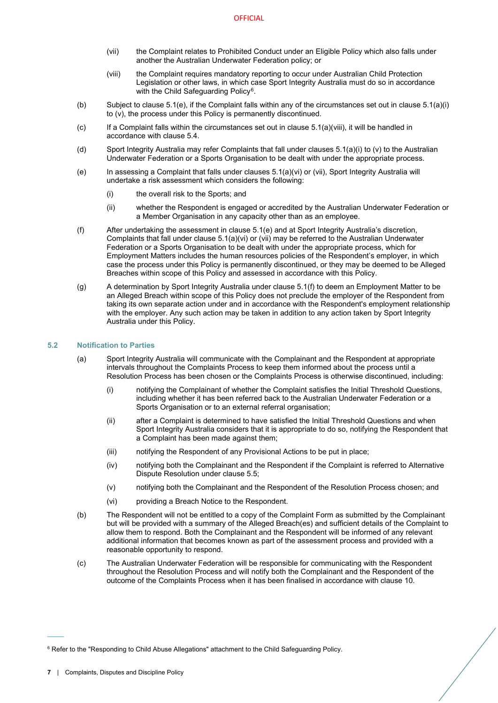- <span id="page-9-3"></span>(vii) the Complaint relates to Prohibited Conduct under an Eligible Policy which also falls under another the Australian Underwater Federation policy; or
- (viii) the Complaint requires mandatory reporting to occur under Australian Child Protection Legislation or other laws, in which case Sport Integrity Australia must do so in accordance with the Child Safeguarding Policy<sup>[6](#page-9-5)</sup>.
- <span id="page-9-2"></span>(b) Subject to claus[e 5.1](#page-8-6)[\(e\),](#page-9-1) if the Complaint falls within any of the circumstances set out in clause [5.1\(a\)\(i\)](#page-8-7) t[o \(v\),](#page-8-8) the process under this Policy is permanently discontinued.
- $(c)$  If a Complaint falls within the circumstances set out in clause  $5.1(a)(viii)$ , it will be handled in accordance with claus[e 5.4.](#page-10-1)
- (d) Sport Integrity Australia may refer Complaints that fall under clause[s 5.1\(a\)\(i\)](#page-8-7) t[o \(v\)](#page-8-8) to the Australian Underwater Federation or a Sports Organisation to be dealt with under the appropriate process.
- <span id="page-9-1"></span>(e) In assessing a Complaint that falls under clauses [5.1](#page-8-6)[\(a\)\(vi\)](#page-8-9) or [\(vii\),](#page-9-3) Sport Integrity Australia will undertake a risk assessment which considers the following:
	- (i) the overall risk to the Sports; and
	- (ii) whether the Respondent is engaged or accredited by the Australian Underwater Federation or a Member Organisation in any capacity other than as an employee.
- <span id="page-9-4"></span>(f) After undertaking the assessment in clause [5.1](#page-8-6)[\(e\)](#page-9-1) and at Sport Integrity Australia's discretion, Complaints that fall under claus[e 5.1\(a\)\(vi\)](#page-8-9) o[r \(vii\)](#page-9-3) may be referred to the Australian Underwater Federation or a Sports Organisation to be dealt with under the appropriate process, which for Employment Matters includes the human resources policies of the Respondent's employer, in which case the process under this Policy is permanently discontinued, or they may be deemed to be Alleged Breaches within scope of this Policy and assessed in accordance with this Policy.
- (g) A determination by Sport Integrity Australia under clause [5.1](#page-8-6)[\(f\)](#page-9-4) to deem an Employment Matter to be an Alleged Breach within scope of this Policy does not preclude the employer of the Respondent from taking its own separate action under and in accordance with the Respondent's employment relationship with the employer. Any such action may be taken in addition to any action taken by Sport Integrity Australia under this Policy.

# <span id="page-9-0"></span>**5.2 Notification to Parties**

- (a) Sport Integrity Australia will communicate with the Complainant and the Respondent at appropriate intervals throughout the Complaints Process to keep them informed about the process until a Resolution Process has been chosen or the Complaints Process is otherwise discontinued, including:
	- (i) notifying the Complainant of whether the Complaint satisfies the Initial Threshold Questions, including whether it has been referred back to the Australian Underwater Federation or a Sports Organisation or to an external referral organisation;
	- (ii) after a Complaint is determined to have satisfied the Initial Threshold Questions and when Sport Integrity Australia considers that it is appropriate to do so, notifying the Respondent that a Complaint has been made against them;
	- (iii) notifying the Respondent of any Provisional Actions to be put in place;
	- (iv) notifying both the Complainant and the Respondent if the Complaint is referred to Alternative Dispute Resolution under clause [5.5;](#page-10-2)
	- (v) notifying both the Complainant and the Respondent of the Resolution Process chosen; and
	- (vi) providing a Breach Notice to the Respondent.
- (b) The Respondent will not be entitled to a copy of the Complaint Form as submitted by the Complainant but will be provided with a summary of the Alleged Breach(es) and sufficient details of the Complaint to allow them to respond. Both the Complainant and the Respondent will be informed of any relevant additional information that becomes known as part of the assessment process and provided with a reasonable opportunity to respond.
- (c) The Australian Underwater Federation will be responsible for communicating with the Respondent throughout the Resolution Process and will notify both the Complainant and the Respondent of the outcome of the Complaints Process when it has been finalised in accordance with clause [10.](#page-18-0)

 $\overline{\phantom{a}}$ 

<span id="page-9-5"></span><sup>&</sup>lt;sup>6</sup> Refer to the "Responding to Child Abuse Allegations" attachment to the Child Safeguarding Policy.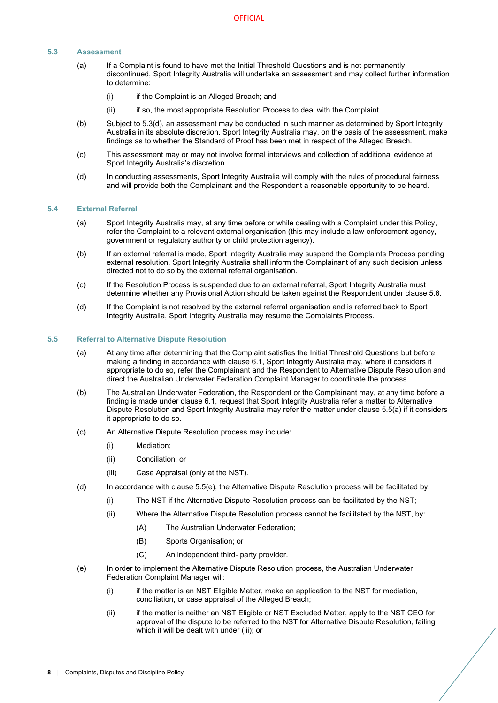# <span id="page-10-0"></span>**5.3 Assessment**

- (a) If a Complaint is found to have met the Initial Threshold Questions and is not permanently discontinued, Sport Integrity Australia will undertake an assessment and may collect further information to determine:
	- (i) if the Complaint is an Alleged Breach; and
	- (ii) if so, the most appropriate Resolution Process to deal with the Complaint.
- (b) Subject to [5.3](#page-10-0)[\(d\),](#page-10-3) an assessment may be conducted in such manner as determined by Sport Integrity Australia in its absolute discretion. Sport Integrity Australia may, on the basis of the assessment, make findings as to whether the Standard of Proof has been met in respect of the Alleged Breach.
- (c) This assessment may or may not involve formal interviews and collection of additional evidence at Sport Integrity Australia's discretion.
- <span id="page-10-3"></span>(d) In conducting assessments, Sport Integrity Australia will comply with the rules of procedural fairness and will provide both the Complainant and the Respondent a reasonable opportunity to be heard.

#### <span id="page-10-1"></span>**5.4 External Referral**

- (a) Sport Integrity Australia may, at any time before or while dealing with a Complaint under this Policy, refer the Complaint to a relevant external organisation (this may include a law enforcement agency, government or regulatory authority or child protection agency).
- (b) If an external referral is made, Sport Integrity Australia may suspend the Complaints Process pending external resolution. Sport Integrity Australia shall inform the Complainant of any such decision unless directed not to do so by the external referral organisation.
- (c) If the Resolution Process is suspended due to an external referral, Sport Integrity Australia must determine whether any Provisional Action should be taken against the Respondent under clause [5.6.](#page-11-0)
- (d) If the Complaint is not resolved by the external referral organisation and is referred back to Sport Integrity Australia, Sport Integrity Australia may resume the Complaints Process.

#### <span id="page-10-4"></span><span id="page-10-2"></span>**5.5 Referral to Alternative Dispute Resolution**

- (a) At any time after determining that the Complaint satisfies the Initial Threshold Questions but before making a finding in accordance with clause 6.1, Sport Integrity Australia may, where it considers it appropriate to do so, refer the Complainant and the Respondent to Alternative Dispute Resolution and direct the Australian Underwater Federation Complaint Manager to coordinate the process.
- (b) The Australian Underwater Federation, the Respondent or the Complainant may, at any time before a finding is made under claus[e 6.1,](#page-12-2) request that Sport Integrity Australia refer a matter to Alternative Dispute Resolution and Sport Integrity Australia may refer the matter under clause [5.5\(a\)](#page-10-4) if it considers it appropriate to do so.
- (c) An Alternative Dispute Resolution process may include:
	- (i) Mediation;
	- (ii) Conciliation; or
	- (iii) Case Appraisal (only at the NST).
- (d) In accordance with claus[e 5.5](#page-10-2)[\(e\),](#page-10-5) the Alternative Dispute Resolution process will be facilitated by:
	- (i) The NST if the Alternative Dispute Resolution process can be facilitated by the NST;
	- (ii) Where the Alternative Dispute Resolution process cannot be facilitated by the NST, by:
		- (A) The Australian Underwater Federation;
		- (B) Sports Organisation; or
		- (C) An independent third- party provider.
- <span id="page-10-5"></span>(e) In order to implement the Alternative Dispute Resolution process, the Australian Underwater Federation Complaint Manager will:
	- (i) if the matter is an NST Eligible Matter, make an application to the NST for mediation, conciliation, or case appraisal of the Alleged Breach;
	- (ii) if the matter is neither an NST Eligible or NST Excluded Matter, apply to the NST CEO for approval of the dispute to be referred to the NST for Alternative Dispute Resolution, failing which it will be dealt with under (iii); or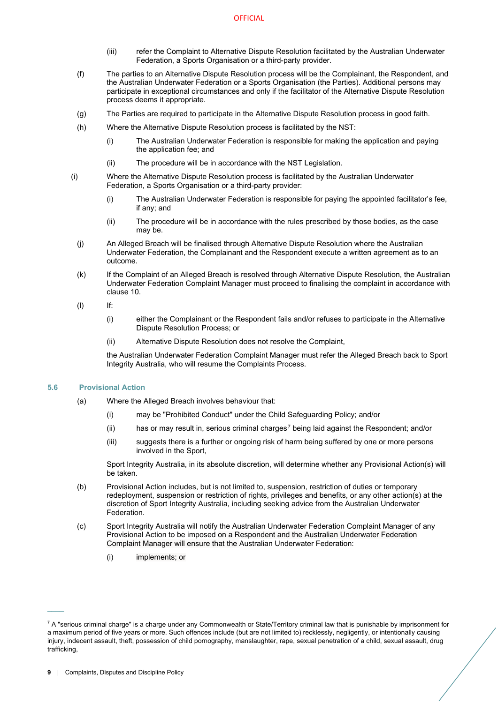- (iii) refer the Complaint to Alternative Dispute Resolution facilitated by the Australian Underwater Federation, a Sports Organisation or a third-party provider.
- (f) The parties to an Alternative Dispute Resolution process will be the Complainant, the Respondent, and the Australian Underwater Federation or a Sports Organisation (the Parties). Additional persons may participate in exceptional circumstances and only if the facilitator of the Alternative Dispute Resolution process deems it appropriate.
- (g) The Parties are required to participate in the Alternative Dispute Resolution process in good faith.
- (h) Where the Alternative Dispute Resolution process is facilitated by the NST:
	- (i) The Australian Underwater Federation is responsible for making the application and paying the application fee; and
	- (ii) The procedure will be in accordance with the NST Legislation.
- (i) Where the Alternative Dispute Resolution process is facilitated by the Australian Underwater Federation, a Sports Organisation or a third-party provider:
	- (i) The Australian Underwater Federation is responsible for paying the appointed facilitator's fee, if any; and
	- (ii) The procedure will be in accordance with the rules prescribed by those bodies, as the case may be.
	- (j) An Alleged Breach will be finalised through Alternative Dispute Resolution where the Australian Underwater Federation, the Complainant and the Respondent execute a written agreement as to an outcome.
	- (k) If the Complaint of an Alleged Breach is resolved through Alternative Dispute Resolution, the Australian Underwater Federation Complaint Manager must proceed to finalising the complaint in accordance with clause [10.](#page-18-0)
	- (l) If:
		- (i) either the Complainant or the Respondent fails and/or refuses to participate in the Alternative Dispute Resolution Process; or
		- (ii) Alternative Dispute Resolution does not resolve the Complaint,

the Australian Underwater Federation Complaint Manager must refer the Alleged Breach back to Sport Integrity Australia, who will resume the Complaints Process.

# **5.6 Provisional Action**

- <span id="page-11-0"></span>(a) Where the Alleged Breach involves behaviour that:
	- (i) may be "Prohibited Conduct" under the Child Safeguarding Policy; and/or
	- (ii) has or may result in, serious criminal charges<sup>[7](#page-11-1)</sup> being laid against the Respondent; and/or
	- (iii) suggests there is a further or ongoing risk of harm being suffered by one or more persons involved in the Sport,

Sport Integrity Australia, in its absolute discretion, will determine whether any Provisional Action(s) will be taken.

- (b) Provisional Action includes, but is not limited to, suspension, restriction of duties or temporary redeployment, suspension or restriction of rights, privileges and benefits, or any other action(s) at the discretion of Sport Integrity Australia, including seeking advice from the Australian Underwater Federation.
- (c) Sport Integrity Australia will notify the Australian Underwater Federation Complaint Manager of any Provisional Action to be imposed on a Respondent and the Australian Underwater Federation Complaint Manager will ensure that the Australian Underwater Federation:
	- (i) implements; or

 $\overline{\phantom{a}}$ 

<span id="page-11-1"></span> $7$  A "serious criminal charge" is a charge under any Commonwealth or State/Territory criminal law that is punishable by imprisonment for a maximum period of five years or more. Such offences include (but are not limited to) recklessly, negligently, or intentionally causing injury, indecent assault, theft, possession of child pornography, manslaughter, rape, sexual penetration of a child, sexual assault, drug trafficking,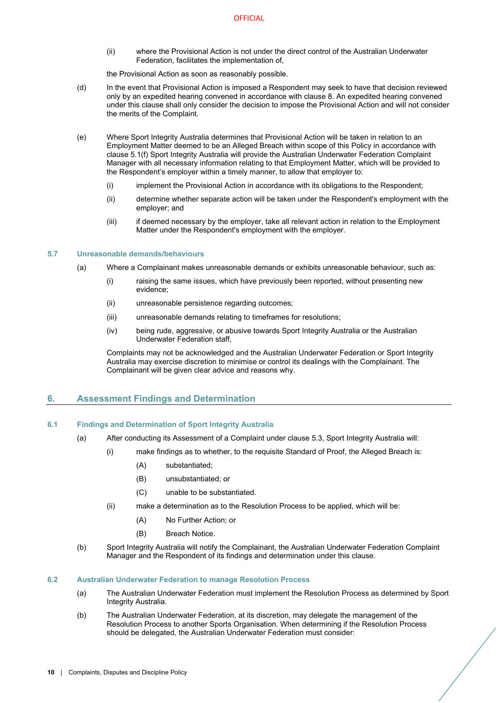(ii) where the Provisional Action is not under the direct control of the Australian Underwater Federation, facilitates the implementation of,

the Provisional Action as soon as reasonably possible.

- (d) In the event that Provisional Action is imposed a Respondent may seek to have that decision reviewed only by an expedited hearing convened in accordance with clause 8. An expedited hearing convened under this clause shall only consider the decision to impose the Provisional Action and will not consider the merits of the Complaint.
- <span id="page-12-4"></span>(e) Where Sport Integrity Australia determines that Provisional Action will be taken in relation to an Employment Matter deemed to be an Alleged Breach within scope of this Policy in accordance with clause [5.1\(f\)](#page-9-4) Sport Integrity Australia will provide the Australian Underwater Federation Complaint Manager with all necessary information relating to that Employment Matter, which will be provided to the Respondent's employer within a timely manner, to allow that employer to:
	- (i) implement the Provisional Action in accordance with its obligations to the Respondent;
	- (ii) determine whether separate action will be taken under the Respondent's employment with the employer; and
	- (iii) if deemed necessary by the employer, take all relevant action in relation to the Employment Matter under the Respondent's employment with the employer.

# <span id="page-12-0"></span>**5.7 Unreasonable demands/behaviours**

- (a) Where a Complainant makes unreasonable demands or exhibits unreasonable behaviour, such as:
	- (i) raising the same issues, which have previously been reported, without presenting new evidence;
	- (ii) unreasonable persistence regarding outcomes;
	- (iii) unreasonable demands relating to timeframes for resolutions;
	- (iv) being rude, aggressive, or abusive towards Sport Integrity Australia or the Australian Underwater Federation staff,

Complaints may not be acknowledged and the Australian Underwater Federation or Sport Integrity Australia may exercise discretion to minimise or control its dealings with the Complainant. The Complainant will be given clear advice and reasons why.

# <span id="page-12-1"></span>**6. Assessment Findings and Determination**

# <span id="page-12-2"></span>**6.1 Findings and Determination of Sport Integrity Australia**

- (a) After conducting its Assessment of a Complaint under claus[e 5.3,](#page-10-0) Sport Integrity Australia will:
	- (i) make findings as to whether, to the requisite Standard of Proof, the Alleged Breach is:
		- (A) substantiated;
		- (B) unsubstantiated; or
		- (C) unable to be substantiated.
		- (ii) make a determination as to the Resolution Process to be applied, which will be:
			- (A) No Further Action; or
			- (B) Breach Notice.
- <span id="page-12-6"></span><span id="page-12-5"></span>(b) Sport Integrity Australia will notify the Complainant, the Australian Underwater Federation Complaint Manager and the Respondent of its findings and determination under this clause.

## <span id="page-12-3"></span>**6.2 Australian Underwater Federation to manage Resolution Process**

- (a) The Australian Underwater Federation must implement the Resolution Process as determined by Sport Integrity Australia.
- <span id="page-12-7"></span>(b) The Australian Underwater Federation, at its discretion, may delegate the management of the Resolution Process to another Sports Organisation. When determining if the Resolution Process should be delegated, the Australian Underwater Federation must consider: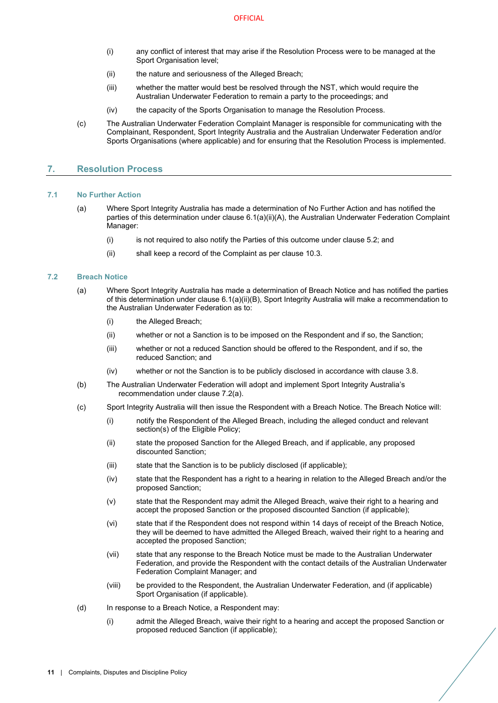- (i) any conflict of interest that may arise if the Resolution Process were to be managed at the Sport Organisation level;
- (ii) the nature and seriousness of the Alleged Breach;
- (iii) whether the matter would best be resolved through the NST, which would require the Australian Underwater Federation to remain a party to the proceedings; and
- (iv) the capacity of the Sports Organisation to manage the Resolution Process.
- (c) The Australian Underwater Federation Complaint Manager is responsible for communicating with the Complainant, Respondent, Sport Integrity Australia and the Australian Underwater Federation and/or Sports Organisations (where applicable) and for ensuring that the Resolution Process is implemented.

# <span id="page-13-0"></span>**7. Resolution Process**

#### <span id="page-13-1"></span>**7.1 No Further Action**

- (a) Where Sport Integrity Australia has made a determination of No Further Action and has notified the parties of this determination under claus[e 6.1\(a\)\(ii\)\(A\),](#page-12-5) the Australian Underwater Federation Complaint Manager:
	- (i) is not required to also notify the Parties of this outcome under claus[e 5.2;](#page-9-0) and
	- (ii) shall keep a record of the Complaint as per claus[e 10.3.](#page-18-3)

#### <span id="page-13-3"></span><span id="page-13-2"></span>**7.2 Breach Notice**

- (a) Where Sport Integrity Australia has made a determination of Breach Notice and has notified the parties of this determination under clause [6.1\(a\)\(ii\)\(B\),](#page-12-6) Sport Integrity Australia will make a recommendation to the Australian Underwater Federation as to:
	- (i) the Alleged Breach;
	- (ii) whether or not a Sanction is to be imposed on the Respondent and if so, the Sanction;
	- (iii) whether or not a reduced Sanction should be offered to the Respondent, and if so, the reduced Sanction; and
	- (iv) whether or not the Sanction is to be publicly disclosed in accordance with clause [3.8.](#page-7-0)
- (b) The Australian Underwater Federation will adopt and implement Sport Integrity Australia's recommendation under clause [7.2\(a\).](#page-13-3)
- (c) Sport Integrity Australia will then issue the Respondent with a Breach Notice. The Breach Notice will:
	- (i) notify the Respondent of the Alleged Breach, including the alleged conduct and relevant section(s) of the Eligible Policy;
	- (ii) state the proposed Sanction for the Alleged Breach, and if applicable, any proposed discounted Sanction;
	- (iii) state that the Sanction is to be publicly disclosed (if applicable);
	- (iv) state that the Respondent has a right to a hearing in relation to the Alleged Breach and/or the proposed Sanction;
	- (v) state that the Respondent may admit the Alleged Breach, waive their right to a hearing and accept the proposed Sanction or the proposed discounted Sanction (if applicable);
	- (vi) state that if the Respondent does not respond within 14 days of receipt of the Breach Notice, they will be deemed to have admitted the Alleged Breach, waived their right to a hearing and accepted the proposed Sanction;
	- (vii) state that any response to the Breach Notice must be made to the Australian Underwater Federation, and provide the Respondent with the contact details of the Australian Underwater Federation Complaint Manager; and
	- (viii) be provided to the Respondent, the Australian Underwater Federation, and (if applicable) Sport Organisation (if applicable).
- <span id="page-13-4"></span>(d) In response to a Breach Notice, a Respondent may:
	- (i) admit the Alleged Breach, waive their right to a hearing and accept the proposed Sanction or proposed reduced Sanction (if applicable);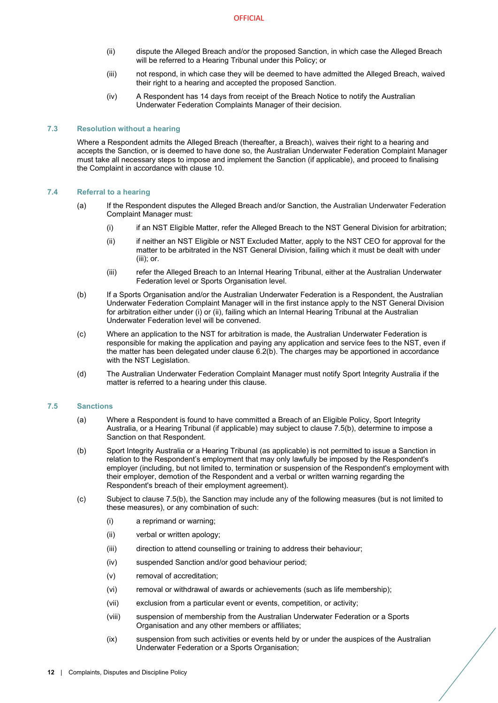- (ii) dispute the Alleged Breach and/or the proposed Sanction, in which case the Alleged Breach will be referred to a Hearing Tribunal under this Policy; or
- (iii) not respond, in which case they will be deemed to have admitted the Alleged Breach, waived their right to a hearing and accepted the proposed Sanction.
- (iv) A Respondent has 14 days from receipt of the Breach Notice to notify the Australian Underwater Federation Complaints Manager of their decision.

# <span id="page-14-0"></span>**7.3 Resolution without a hearing**

Where a Respondent admits the Alleged Breach (thereafter, a Breach), waives their right to a hearing and accepts the Sanction, or is deemed to have done so, the Australian Underwater Federation Complaint Manager must take all necessary steps to impose and implement the Sanction (if applicable), and proceed to finalising the Complaint in accordance with claus[e 10.](#page-18-0)

#### <span id="page-14-1"></span>**7.4 Referral to a hearing**

- (a) If the Respondent disputes the Alleged Breach and/or Sanction, the Australian Underwater Federation Complaint Manager must:
	- (i) if an NST Eligible Matter, refer the Alleged Breach to the NST General Division for arbitration;
	- (ii) if neither an NST Eligible or NST Excluded Matter, apply to the NST CEO for approval for the matter to be arbitrated in the NST General Division, failing which it must be dealt with under (iii); or.
	- (iii) refer the Alleged Breach to an Internal Hearing Tribunal, either at the Australian Underwater Federation level or Sports Organisation level.
- (b) If a Sports Organisation and/or the Australian Underwater Federation is a Respondent, the Australian Underwater Federation Complaint Manager will in the first instance apply to the NST General Division for arbitration either under (i) or (ii), failing which an Internal Hearing Tribunal at the Australian Underwater Federation level will be convened.
- (c) Where an application to the NST for arbitration is made, the Australian Underwater Federation is responsible for making the application and paying any application and service fees to the NST, even if the matter has been delegated under clause [6.2\(b\).](#page-12-7) The charges may be apportioned in accordance with the NST Legislation.
- (d) The Australian Underwater Federation Complaint Manager must notify Sport Integrity Australia if the matter is referred to a hearing under this clause.

# <span id="page-14-2"></span>**7.5 Sanctions**

- (a) Where a Respondent is found to have committed a Breach of an Eligible Policy, Sport Integrity Australia, or a Hearing Tribunal (if applicable) may subject to claus[e 7.5](#page-14-2)[\(b\),](#page-14-3) determine to impose a Sanction on that Respondent.
- <span id="page-14-3"></span>(b) Sport Integrity Australia or a Hearing Tribunal (as applicable) is not permitted to issue a Sanction in relation to the Respondent's employment that may only lawfully be imposed by the Respondent's employer (including, but not limited to, termination or suspension of the Respondent's employment with their employer, demotion of the Respondent and a verbal or written warning regarding the Respondent's breach of their employment agreement).
- (c) Subject to claus[e 7.5](#page-14-2)[\(b\),](#page-14-3) the Sanction may include any of the following measures (but is not limited to these measures), or any combination of such:
	- (i) a reprimand or warning;
	- (ii) verbal or written apology;
	- (iii) direction to attend counselling or training to address their behaviour;
	- (iv) suspended Sanction and/or good behaviour period;
	- (v) removal of accreditation;
	- (vi) removal or withdrawal of awards or achievements (such as life membership);
	- (vii) exclusion from a particular event or events, competition, or activity;
	- (viii) suspension of membership from the Australian Underwater Federation or a Sports Organisation and any other members or affiliates;
	- (ix) suspension from such activities or events held by or under the auspices of the Australian Underwater Federation or a Sports Organisation;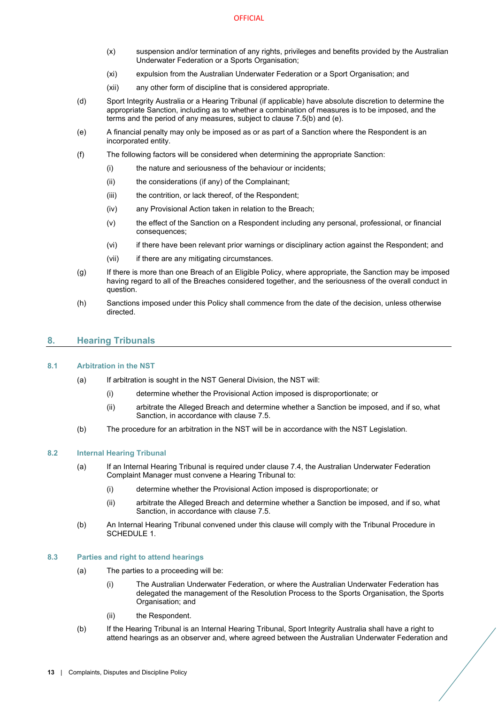- (x) suspension and/or termination of any rights, privileges and benefits provided by the Australian Underwater Federation or a Sports Organisation;
- (xi) expulsion from the Australian Underwater Federation or a Sport Organisation; and
- (xii) any other form of discipline that is considered appropriate.
- (d) Sport Integrity Australia or a Hearing Tribunal (if applicable) have absolute discretion to determine the appropriate Sanction, including as to whether a combination of measures is to be imposed, and the terms and the period of any measures, subject to claus[e 7.5](#page-14-2)[\(b\)](#page-14-3) and [\(e\).](#page-15-6)
- <span id="page-15-6"></span>(e) A financial penalty may only be imposed as or as part of a Sanction where the Respondent is an incorporated entity.
- (f) The following factors will be considered when determining the appropriate Sanction:
	- (i) the nature and seriousness of the behaviour or incidents;
	- (ii) the considerations (if any) of the Complainant;
	- (iii) the contrition, or lack thereof, of the Respondent;
	- (iv) any Provisional Action taken in relation to the Breach;
	- (v) the effect of the Sanction on a Respondent including any personal, professional, or financial consequences;
	- (vi) if there have been relevant prior warnings or disciplinary action against the Respondent; and
	- (vii) if there are any mitigating circumstances.
- (g) If there is more than one Breach of an Eligible Policy, where appropriate, the Sanction may be imposed having regard to all of the Breaches considered together, and the seriousness of the overall conduct in question.
- (h) Sanctions imposed under this Policy shall commence from the date of the decision, unless otherwise directed.

# <span id="page-15-0"></span>**8. Hearing Tribunals**

#### <span id="page-15-10"></span><span id="page-15-1"></span>**8.1 Arbitration in the NST**

- (a) If arbitration is sought in the NST General Division, the NST will:
	- (i) determine whether the Provisional Action imposed is disproportionate; or
	- (ii) arbitrate the Alleged Breach and determine whether a Sanction be imposed, and if so, what Sanction, in accordance with claus[e 7.5.](#page-14-2)
- <span id="page-15-8"></span>(b) The procedure for an arbitration in the NST will be in accordance with the NST Legislation.

# <span id="page-15-11"></span><span id="page-15-4"></span><span id="page-15-2"></span>**8.2 Internal Hearing Tribunal**

- (a) If an Internal Hearing Tribunal is required under claus[e 7.4,](#page-14-1) the Australian Underwater Federation Complaint Manager must convene a Hearing Tribunal to:
	- (i) determine whether the Provisional Action imposed is disproportionate; or
	- (ii) arbitrate the Alleged Breach and determine whether a Sanction be imposed, and if so, what Sanction, in accordance with claus[e 7.5.](#page-14-2)
- <span id="page-15-9"></span><span id="page-15-5"></span>(b) An Internal Hearing Tribunal convened under this clause will comply with the Tribunal Procedure in [SCHEDULE 1.](#page-20-0)

#### <span id="page-15-7"></span><span id="page-15-3"></span>**8.3 Parties and right to attend hearings**

- (a) The parties to a proceeding will be:
	- (i) The Australian Underwater Federation, or where the Australian Underwater Federation has delegated the management of the Resolution Process to the Sports Organisation, the Sports Organisation; and
	- (ii) the Respondent.
- (b) If the Hearing Tribunal is an Internal Hearing Tribunal, Sport Integrity Australia shall have a right to attend hearings as an observer and, where agreed between the Australian Underwater Federation and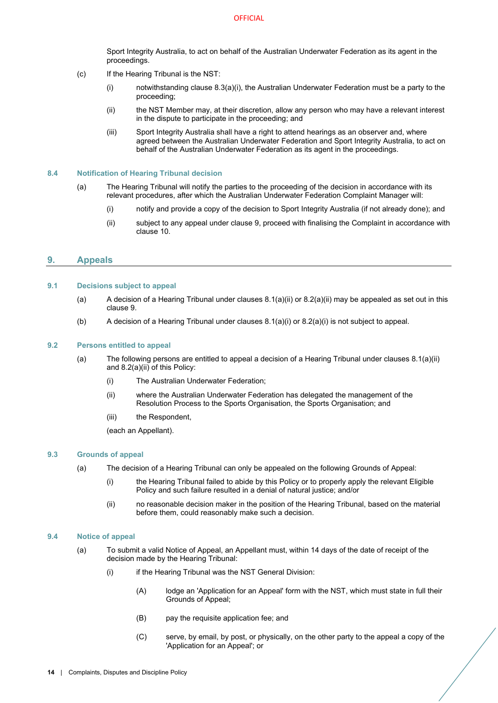Sport Integrity Australia, to act on behalf of the Australian Underwater Federation as its agent in the proceedings.

- (c) If the Hearing Tribunal is the NST:
	- (i) notwithstanding clause  $8.3(a)(i)$ , the Australian Underwater Federation must be a party to the proceeding;
	- (ii) the NST Member may, at their discretion, allow any person who may have a relevant interest in the dispute to participate in the proceeding; and
	- (iii) Sport Integrity Australia shall have a right to attend hearings as an observer and, where agreed between the Australian Underwater Federation and Sport Integrity Australia, to act on behalf of the Australian Underwater Federation as its agent in the proceedings.

#### <span id="page-16-0"></span>**8.4 Notification of Hearing Tribunal decision**

- (a) The Hearing Tribunal will notify the parties to the proceeding of the decision in accordance with its relevant procedures, after which the Australian Underwater Federation Complaint Manager will:
	- (i) notify and provide a copy of the decision to Sport Integrity Australia (if not already done); and
	- (ii) subject to any appeal under claus[e 9,](#page-16-1) proceed with finalising the Complaint in accordance with claus[e 10.](#page-18-0)

# <span id="page-16-1"></span>**9. Appeals**

#### <span id="page-16-2"></span>**9.1 Decisions subject to appeal**

- (a) A decision of a Hearing Tribunal under clause[s 8.1\(a\)\(ii\)](#page-15-8) or [8.2\(a\)\(ii\)](#page-15-9) may be appealed as set out in this clause [9.](#page-16-1)
- (b) A decision of a Hearing Tribunal under clause[s 8.1\(a\)\(i\)](#page-15-10) or [8.2\(a\)\(i\)](#page-15-11) is not subject to appeal.

# <span id="page-16-3"></span>**9.2 Persons entitled to appeal**

- (a) The following persons are entitled to appeal a decision of a Hearing Tribunal under clauses [8.1\(a\)\(ii\)](#page-15-8) and [8.2\(a\)\(ii\)](#page-15-9) of this Policy:
	- (i) The Australian Underwater Federation;
	- (ii) where the Australian Underwater Federation has delegated the management of the Resolution Process to the Sports Organisation, the Sports Organisation; and
	- (iii) the Respondent.

(each an Appellant).

#### <span id="page-16-6"></span><span id="page-16-4"></span>**9.3 Grounds of appeal**

- (a) The decision of a Hearing Tribunal can only be appealed on the following Grounds of Appeal:
	- (i) the Hearing Tribunal failed to abide by this Policy or to properly apply the relevant Eligible Policy and such failure resulted in a denial of natural justice; and/or
	- (ii) no reasonable decision maker in the position of the Hearing Tribunal, based on the material before them, could reasonably make such a decision.

## <span id="page-16-5"></span>**9.4 Notice of appeal**

- (a) To submit a valid Notice of Appeal, an Appellant must, within 14 days of the date of receipt of the decision made by the Hearing Tribunal:
	- (i) if the Hearing Tribunal was the NST General Division:
		- (A) lodge an 'Application for an Appeal' form with the NST, which must state in full their Grounds of Appeal;
		- (B) pay the requisite application fee; and
		- (C) serve, by email, by post, or physically, on the other party to the appeal a copy of the 'Application for an Appeal'; or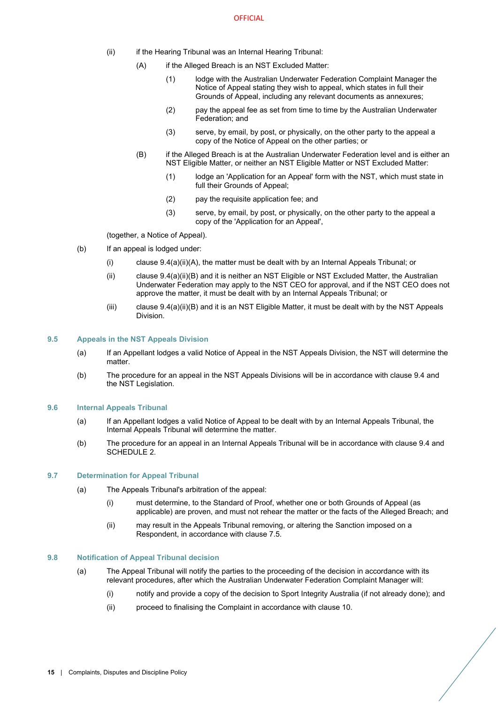- <span id="page-17-4"></span>(ii) if the Hearing Tribunal was an Internal Hearing Tribunal:
	- (A) if the Alleged Breach is an NST Excluded Matter:
		- (1) lodge with the Australian Underwater Federation Complaint Manager the Notice of Appeal stating they wish to appeal, which states in full their Grounds of Appeal, including any relevant documents as annexures;
		- (2) pay the appeal fee as set from time to time by the Australian Underwater Federation; and
		- (3) serve, by email, by post, or physically, on the other party to the appeal a copy of the Notice of Appeal on the other parties; or
	- (B) if the Alleged Breach is at the Australian Underwater Federation level and is either an NST Eligible Matter, or neither an NST Eligible Matter or NST Excluded Matter:
		- (1) lodge an 'Application for an Appeal' form with the NST, which must state in full their Grounds of Appeal;
		- (2) pay the requisite application fee; and
		- (3) serve, by email, by post, or physically, on the other party to the appeal a copy of the 'Application for an Appeal',

<span id="page-17-5"></span>(together, a Notice of Appeal).

- (b) If an appeal is lodged under:
	- (i) claus[e 9.4\(a\)\(ii\)\(A\),](#page-17-4) the matter must be dealt with by an Internal Appeals Tribunal; or
	- (ii) claus[e 9.4\(a\)\(ii\)\(B\)](#page-17-5) and it is neither an NST Eligible or NST Excluded Matter, the Australian Underwater Federation may apply to the NST CEO for approval, and if the NST CEO does not approve the matter, it must be dealt with by an Internal Appeals Tribunal; or
	- $(iii)$  clause  $9.4(a)(ii)(B)$  and it is an NST Eligible Matter, it must be dealt with by the NST Appeals Division.

# <span id="page-17-0"></span>**9.5 Appeals in the NST Appeals Division**

- (a) If an Appellant lodges a valid Notice of Appeal in the NST Appeals Division, the NST will determine the matter.
- (b) The procedure for an appeal in the NST Appeals Divisions will be in accordance with clause [9.4](#page-16-5) and the NST Legislation.

#### <span id="page-17-1"></span>**9.6 Internal Appeals Tribunal**

- (a) If an Appellant lodges a valid Notice of Appeal to be dealt with by an Internal Appeals Tribunal, the Internal Appeals Tribunal will determine the matter.
- (b) The procedure for an appeal in an Internal Appeals Tribunal will be in accordance with clause [9.4](#page-16-5) and [SCHEDULE 2.](#page-24-0)

#### <span id="page-17-2"></span>**9.7 Determination for Appeal Tribunal**

- (a) The Appeals Tribunal's arbitration of the appeal:
	- (i) must determine, to the Standard of Proof, whether one or both Grounds of Appeal (as applicable) are proven, and must not rehear the matter or the facts of the Alleged Breach; and
	- (ii) may result in the Appeals Tribunal removing, or altering the Sanction imposed on a Respondent, in accordance with clause [7.5.](#page-14-2)

#### <span id="page-17-3"></span>**9.8 Notification of Appeal Tribunal decision**

- (a) The Appeal Tribunal will notify the parties to the proceeding of the decision in accordance with its relevant procedures, after which the Australian Underwater Federation Complaint Manager will:
	- (i) notify and provide a copy of the decision to Sport Integrity Australia (if not already done); and
	- (ii) proceed to finalising the Complaint in accordance with clause [10.](#page-18-0)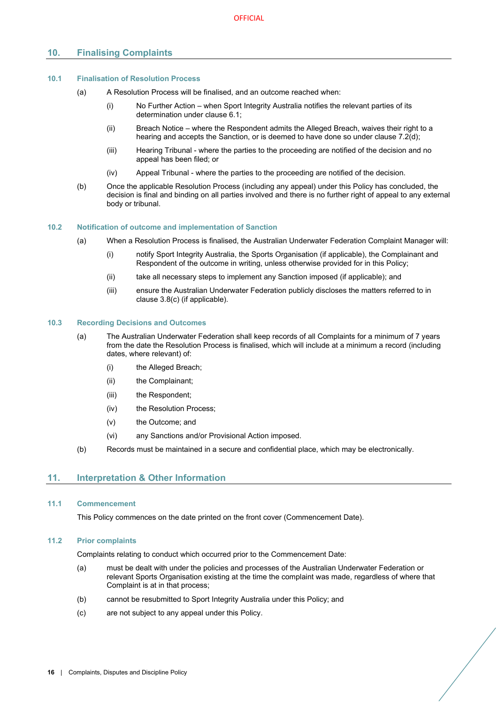# <span id="page-18-0"></span>**10. Finalising Complaints**

# <span id="page-18-1"></span>**10.1 Finalisation of Resolution Process**

- (a) A Resolution Process will be finalised, and an outcome reached when:
	- (i) No Further Action when Sport Integrity Australia notifies the relevant parties of its determination under clause [6.1;](#page-12-2)
	- (ii) Breach Notice where the Respondent admits the Alleged Breach, waives their right to a hearing and accepts the Sanction, or is deemed to have done so under claus[e 7.2\(d\);](#page-13-4)
	- (iii) Hearing Tribunal where the parties to the proceeding are notified of the decision and no appeal has been filed; or
	- (iv) Appeal Tribunal where the parties to the proceeding are notified of the decision.
- (b) Once the applicable Resolution Process (including any appeal) under this Policy has concluded, the decision is final and binding on all parties involved and there is no further right of appeal to any external body or tribunal.

# <span id="page-18-2"></span>**10.2 Notification of outcome and implementation of Sanction**

- (a) When a Resolution Process is finalised, the Australian Underwater Federation Complaint Manager will:
	- (i) notify Sport Integrity Australia, the Sports Organisation (if applicable), the Complainant and Respondent of the outcome in writing, unless otherwise provided for in this Policy;
	- (ii) take all necessary steps to implement any Sanction imposed (if applicable); and
	- (iii) ensure the Australian Underwater Federation publicly discloses the matters referred to in claus[e 3.8](#page-7-0)[\(c\)](#page-7-7) (if applicable).

#### <span id="page-18-3"></span>**10.3 Recording Decisions and Outcomes**

- (a) The Australian Underwater Federation shall keep records of all Complaints for a minimum of 7 years from the date the Resolution Process is finalised, which will include at a minimum a record (including dates, where relevant) of:
	- (i) the Alleged Breach;
	- (ii) the Complainant;
	- (iii) the Respondent;
	- (iv) the Resolution Process;
	- (v) the Outcome; and
	- (vi) any Sanctions and/or Provisional Action imposed.
- (b) Records must be maintained in a secure and confidential place, which may be electronically.

# <span id="page-18-4"></span>**11. Interpretation & Other Information**

# <span id="page-18-5"></span>**11.1 Commencement**

This Policy commences on the date printed on the front cover (Commencement Date).

# <span id="page-18-6"></span>**11.2 Prior complaints**

Complaints relating to conduct which occurred prior to the Commencement Date:

- (a) must be dealt with under the policies and processes of the Australian Underwater Federation or relevant Sports Organisation existing at the time the complaint was made, regardless of where that Complaint is at in that process;
- (b) cannot be resubmitted to Sport Integrity Australia under this Policy; and
- (c) are not subject to any appeal under this Policy.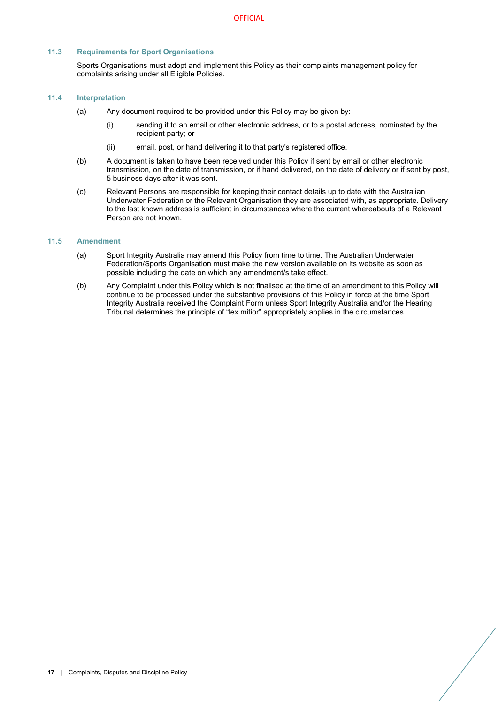# <span id="page-19-0"></span>**11.3 Requirements for Sport Organisations**

Sports Organisations must adopt and implement this Policy as their complaints management policy for complaints arising under all Eligible Policies.

# <span id="page-19-1"></span>**11.4 Interpretation**

- (a) Any document required to be provided under this Policy may be given by:
	- (i) sending it to an email or other electronic address, or to a postal address, nominated by the recipient party; or
	- (ii) email, post, or hand delivering it to that party's registered office.
- (b) A document is taken to have been received under this Policy if sent by email or other electronic transmission, on the date of transmission, or if hand delivered, on the date of delivery or if sent by post, 5 business days after it was sent.
- (c) Relevant Persons are responsible for keeping their contact details up to date with the Australian Underwater Federation or the Relevant Organisation they are associated with, as appropriate. Delivery to the last known address is sufficient in circumstances where the current whereabouts of a Relevant Person are not known.

## <span id="page-19-2"></span>**11.5 Amendment**

- (a) Sport Integrity Australia may amend this Policy from time to time. The Australian Underwater Federation/Sports Organisation must make the new version available on its website as soon as possible including the date on which any amendment/s take effect.
- (b) Any Complaint under this Policy which is not finalised at the time of an amendment to this Policy will continue to be processed under the substantive provisions of this Policy in force at the time Sport Integrity Australia received the Complaint Form unless Sport Integrity Australia and/or the Hearing Tribunal determines the principle of "lex mitior" appropriately applies in the circumstances.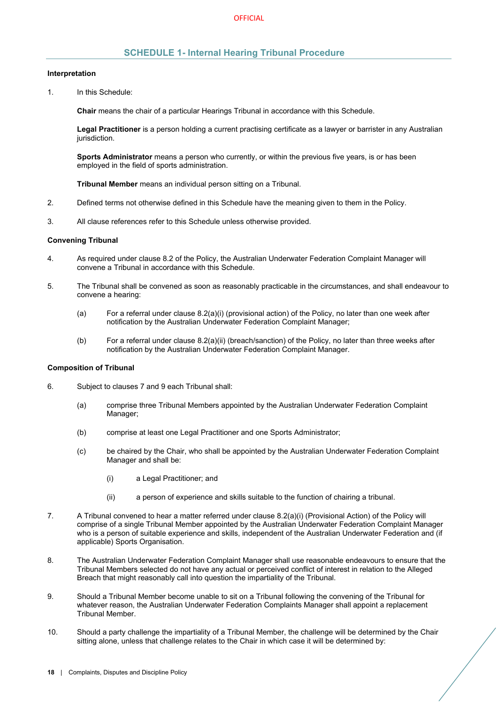# **SCHEDULE 1- Internal Hearing Tribunal Procedure**

#### <span id="page-20-0"></span>**Interpretation**

1. In this Schedule:

**Chair** means the chair of a particular Hearings Tribunal in accordance with this Schedule.

**Legal Practitioner** is a person holding a current practising certificate as a lawyer or barrister in any Australian jurisdiction.

**Sports Administrator** means a person who currently, or within the previous five years, is or has been employed in the field of sports administration.

**Tribunal Member** means an individual person sitting on a Tribunal.

- 2. Defined terms not otherwise defined in this Schedule have the meaning given to them in the Policy.
- 3. All clause references refer to this Schedule unless otherwise provided.

#### **Convening Tribunal**

- 4. As required under claus[e 8.2](#page-15-2) of the Policy, the Australian Underwater Federation Complaint Manager will convene a Tribunal in accordance with this Schedule.
- 5. The Tribunal shall be convened as soon as reasonably practicable in the circumstances, and shall endeavour to convene a hearing:
	- (a) For a referral under clause [8.2\(a\)\(i\)](#page-15-11) (provisional action) of the Policy, no later than one week after notification by the Australian Underwater Federation Complaint Manager;
	- (b) For a referral under clause [8.2\(a\)\(ii\)](#page-15-9) (breach/sanction) of the Policy, no later than three weeks after notification by the Australian Underwater Federation Complaint Manager.

# **Composition of Tribunal**

- 6. Subject to clause[s 7](#page-13-0) and [9](#page-16-1) each Tribunal shall:
	- (a) comprise three Tribunal Members appointed by the Australian Underwater Federation Complaint Manager;
	- (b) comprise at least one Legal Practitioner and one Sports Administrator;
	- (c) be chaired by the Chair, who shall be appointed by the Australian Underwater Federation Complaint Manager and shall be:
		- (i) a Legal Practitioner; and
		- (ii) a person of experience and skills suitable to the function of chairing a tribunal.
- 7. A Tribunal convened to hear a matter referred under clause [8.2\(a\)\(i\)](#page-15-11) (Provisional Action) of the Policy will comprise of a single Tribunal Member appointed by the Australian Underwater Federation Complaint Manager who is a person of suitable experience and skills, independent of the Australian Underwater Federation and (if applicable) Sports Organisation.
- 8. The Australian Underwater Federation Complaint Manager shall use reasonable endeavours to ensure that the Tribunal Members selected do not have any actual or perceived conflict of interest in relation to the Alleged Breach that might reasonably call into question the impartiality of the Tribunal.
- 9. Should a Tribunal Member become unable to sit on a Tribunal following the convening of the Tribunal for whatever reason, the Australian Underwater Federation Complaints Manager shall appoint a replacement Tribunal Member.
- 10. Should a party challenge the impartiality of a Tribunal Member, the challenge will be determined by the Chair sitting alone, unless that challenge relates to the Chair in which case it will be determined by: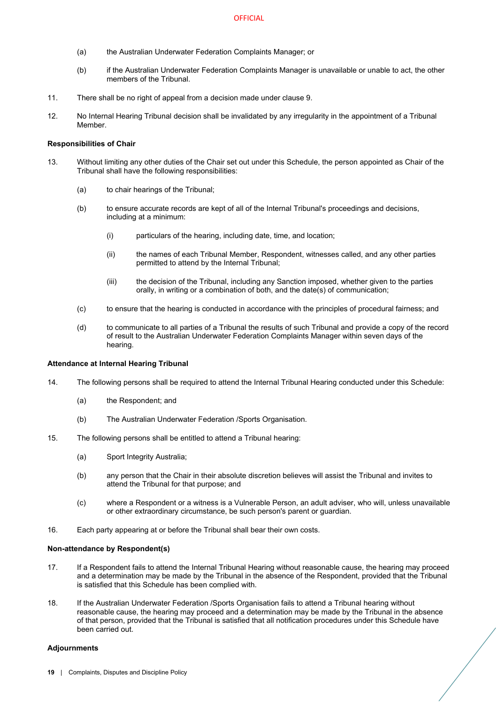- (a) the Australian Underwater Federation Complaints Manager; or
- (b) if the Australian Underwater Federation Complaints Manager is unavailable or unable to act, the other members of the Tribunal.
- 11. There shall be no right of appeal from a decision made under clause 9.
- 12. No Internal Hearing Tribunal decision shall be invalidated by any irregularity in the appointment of a Tribunal Member.

# **Responsibilities of Chair**

- 13. Without limiting any other duties of the Chair set out under this Schedule, the person appointed as Chair of the Tribunal shall have the following responsibilities:
	- (a) to chair hearings of the Tribunal;
	- (b) to ensure accurate records are kept of all of the Internal Tribunal's proceedings and decisions, including at a minimum:
		- (i) particulars of the hearing, including date, time, and location;
		- (ii) the names of each Tribunal Member, Respondent, witnesses called, and any other parties permitted to attend by the Internal Tribunal;
		- (iii) the decision of the Tribunal, including any Sanction imposed, whether given to the parties orally, in writing or a combination of both, and the date(s) of communication;
	- (c) to ensure that the hearing is conducted in accordance with the principles of procedural fairness; and
	- (d) to communicate to all parties of a Tribunal the results of such Tribunal and provide a copy of the record of result to the Australian Underwater Federation Complaints Manager within seven days of the hearing.

#### **Attendance at Internal Hearing Tribunal**

- 14. The following persons shall be required to attend the Internal Tribunal Hearing conducted under this Schedule:
	- (a) the Respondent; and
	- (b) The Australian Underwater Federation /Sports Organisation.
- 15. The following persons shall be entitled to attend a Tribunal hearing:
	- (a) Sport Integrity Australia;
	- (b) any person that the Chair in their absolute discretion believes will assist the Tribunal and invites to attend the Tribunal for that purpose; and
	- (c) where a Respondent or a witness is a Vulnerable Person, an adult adviser, who will, unless unavailable or other extraordinary circumstance, be such person's parent or guardian.
- 16. Each party appearing at or before the Tribunal shall bear their own costs.

### **Non-attendance by Respondent(s)**

- 17. If a Respondent fails to attend the Internal Tribunal Hearing without reasonable cause, the hearing may proceed and a determination may be made by the Tribunal in the absence of the Respondent, provided that the Tribunal is satisfied that this Schedule has been complied with.
- 18. If the Australian Underwater Federation /Sports Organisation fails to attend a Tribunal hearing without reasonable cause, the hearing may proceed and a determination may be made by the Tribunal in the absence of that person, provided that the Tribunal is satisfied that all notification procedures under this Schedule have been carried out.

#### **Adjournments**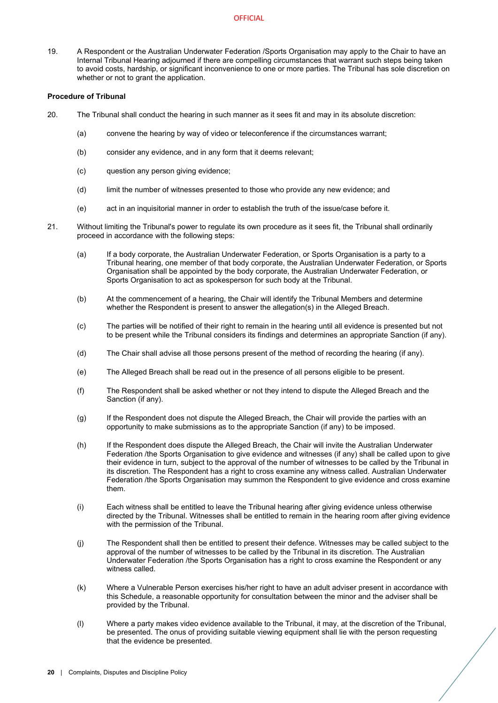19. A Respondent or the Australian Underwater Federation /Sports Organisation may apply to the Chair to have an Internal Tribunal Hearing adjourned if there are compelling circumstances that warrant such steps being taken to avoid costs, hardship, or significant inconvenience to one or more parties. The Tribunal has sole discretion on whether or not to grant the application.

# **Procedure of Tribunal**

- 20. The Tribunal shall conduct the hearing in such manner as it sees fit and may in its absolute discretion:
	- (a) convene the hearing by way of video or teleconference if the circumstances warrant;
	- (b) consider any evidence, and in any form that it deems relevant;
	- (c) question any person giving evidence;
	- (d) limit the number of witnesses presented to those who provide any new evidence; and
	- (e) act in an inquisitorial manner in order to establish the truth of the issue/case before it.
- 21. Without limiting the Tribunal's power to regulate its own procedure as it sees fit, the Tribunal shall ordinarily proceed in accordance with the following steps:
	- (a) If a body corporate, the Australian Underwater Federation, or Sports Organisation is a party to a Tribunal hearing, one member of that body corporate, the Australian Underwater Federation, or Sports Organisation shall be appointed by the body corporate, the Australian Underwater Federation, or Sports Organisation to act as spokesperson for such body at the Tribunal.
	- (b) At the commencement of a hearing, the Chair will identify the Tribunal Members and determine whether the Respondent is present to answer the allegation(s) in the Alleged Breach.
	- (c) The parties will be notified of their right to remain in the hearing until all evidence is presented but not to be present while the Tribunal considers its findings and determines an appropriate Sanction (if any).
	- (d) The Chair shall advise all those persons present of the method of recording the hearing (if any).
	- (e) The Alleged Breach shall be read out in the presence of all persons eligible to be present.
	- (f) The Respondent shall be asked whether or not they intend to dispute the Alleged Breach and the Sanction (if any).
	- (g) If the Respondent does not dispute the Alleged Breach, the Chair will provide the parties with an opportunity to make submissions as to the appropriate Sanction (if any) to be imposed.
	- (h) If the Respondent does dispute the Alleged Breach, the Chair will invite the Australian Underwater Federation /the Sports Organisation to give evidence and witnesses (if any) shall be called upon to give their evidence in turn, subject to the approval of the number of witnesses to be called by the Tribunal in its discretion. The Respondent has a right to cross examine any witness called. Australian Underwater Federation /the Sports Organisation may summon the Respondent to give evidence and cross examine them.
	- (i) Each witness shall be entitled to leave the Tribunal hearing after giving evidence unless otherwise directed by the Tribunal. Witnesses shall be entitled to remain in the hearing room after giving evidence with the permission of the Tribunal.
	- (j) The Respondent shall then be entitled to present their defence. Witnesses may be called subject to the approval of the number of witnesses to be called by the Tribunal in its discretion. The Australian Underwater Federation /the Sports Organisation has a right to cross examine the Respondent or any witness called.
	- (k) Where a Vulnerable Person exercises his/her right to have an adult adviser present in accordance with this Schedule, a reasonable opportunity for consultation between the minor and the adviser shall be provided by the Tribunal.
	- (l) Where a party makes video evidence available to the Tribunal, it may, at the discretion of the Tribunal, be presented. The onus of providing suitable viewing equipment shall lie with the person requesting that the evidence be presented.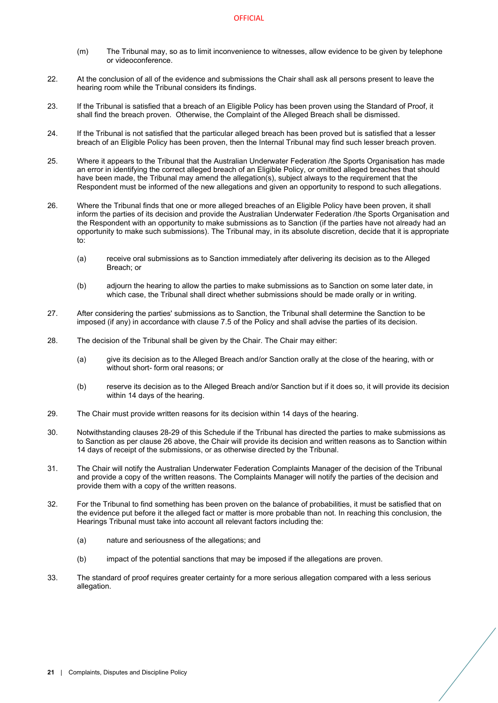- (m) The Tribunal may, so as to limit inconvenience to witnesses, allow evidence to be given by telephone or videoconference.
- 22. At the conclusion of all of the evidence and submissions the Chair shall ask all persons present to leave the hearing room while the Tribunal considers its findings.
- 23. If the Tribunal is satisfied that a breach of an Eligible Policy has been proven using the Standard of Proof, it shall find the breach proven. Otherwise, the Complaint of the Alleged Breach shall be dismissed.
- 24. If the Tribunal is not satisfied that the particular alleged breach has been proved but is satisfied that a lesser breach of an Eligible Policy has been proven, then the Internal Tribunal may find such lesser breach proven.
- 25. Where it appears to the Tribunal that the Australian Underwater Federation /the Sports Organisation has made an error in identifying the correct alleged breach of an Eligible Policy, or omitted alleged breaches that should have been made, the Tribunal may amend the allegation(s), subject always to the requirement that the Respondent must be informed of the new allegations and given an opportunity to respond to such allegations.
- <span id="page-23-2"></span>26. Where the Tribunal finds that one or more alleged breaches of an Eligible Policy have been proven, it shall inform the parties of its decision and provide the Australian Underwater Federation /the Sports Organisation and the Respondent with an opportunity to make submissions as to Sanction (if the parties have not already had an opportunity to make such submissions). The Tribunal may, in its absolute discretion, decide that it is appropriate to:
	- (a) receive oral submissions as to Sanction immediately after delivering its decision as to the Alleged Breach; or
	- (b) adjourn the hearing to allow the parties to make submissions as to Sanction on some later date, in which case, the Tribunal shall direct whether submissions should be made orally or in writing.
- 27. After considering the parties' submissions as to Sanction, the Tribunal shall determine the Sanction to be imposed (if any) in accordance with clause [7.5](#page-14-2) of the Policy and shall advise the parties of its decision.
- <span id="page-23-0"></span>28. The decision of the Tribunal shall be given by the Chair. The Chair may either:
	- (a) give its decision as to the Alleged Breach and/or Sanction orally at the close of the hearing, with or without short- form oral reasons; or
	- (b) reserve its decision as to the Alleged Breach and/or Sanction but if it does so, it will provide its decision within 14 days of the hearing.
- <span id="page-23-1"></span>29. The Chair must provide written reasons for its decision within 14 days of the hearing.
- 30. Notwithstanding clause[s 28](#page-23-0)[-29](#page-23-1) of this Schedule if the Tribunal has directed the parties to make submissions as to Sanction as per claus[e 26](#page-23-2) above, the Chair will provide its decision and written reasons as to Sanction within 14 days of receipt of the submissions, or as otherwise directed by the Tribunal.
- 31. The Chair will notify the Australian Underwater Federation Complaints Manager of the decision of the Tribunal and provide a copy of the written reasons. The Complaints Manager will notify the parties of the decision and provide them with a copy of the written reasons.
- 32. For the Tribunal to find something has been proven on the balance of probabilities, it must be satisfied that on the evidence put before it the alleged fact or matter is more probable than not. In reaching this conclusion, the Hearings Tribunal must take into account all relevant factors including the:
	- (a) nature and seriousness of the allegations; and
	- (b) impact of the potential sanctions that may be imposed if the allegations are proven.
- 33. The standard of proof requires greater certainty for a more serious allegation compared with a less serious allegation.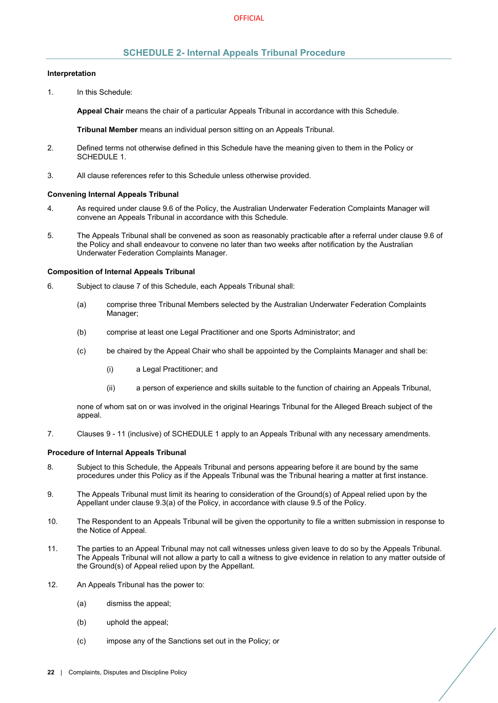# **SCHEDULE 2- Internal Appeals Tribunal Procedure**

#### <span id="page-24-0"></span>**Interpretation**

1. In this Schedule:

**Appeal Chair** means the chair of a particular Appeals Tribunal in accordance with this Schedule.

**Tribunal Member** means an individual person sitting on an Appeals Tribunal.

- 2. Defined terms not otherwise defined in this Schedule have the meaning given to them in the Policy or [SCHEDULE 1.](#page-20-0)
- 3. All clause references refer to this Schedule unless otherwise provided.

### **Convening Internal Appeals Tribunal**

- 4. As required under claus[e 9.6](#page-17-1) of the Policy, the Australian Underwater Federation Complaints Manager will convene an Appeals Tribunal in accordance with this Schedule.
- 5. The Appeals Tribunal shall be convened as soon as reasonably practicable after a referral under clause [9.6](#page-17-1) of the Policy and shall endeavour to convene no later than two weeks after notification by the Australian Underwater Federation Complaints Manager.

#### **Composition of Internal Appeals Tribunal**

- 6. Subject to clause [7](#page-24-1) of this Schedule, each Appeals Tribunal shall:
	- (a) comprise three Tribunal Members selected by the Australian Underwater Federation Complaints Manager;
	- (b) comprise at least one Legal Practitioner and one Sports Administrator; and
	- (c) be chaired by the Appeal Chair who shall be appointed by the Complaints Manager and shall be:
		- (i) a Legal Practitioner; and
		- (ii) a person of experience and skills suitable to the function of chairing an Appeals Tribunal,

none of whom sat on or was involved in the original Hearings Tribunal for the Alleged Breach subject of the appeal.

<span id="page-24-1"></span>7. Clauses 9 - 11 (inclusive) o[f SCHEDULE 1](#page-20-0) apply to an Appeals Tribunal with any necessary amendments.

# **Procedure of Internal Appeals Tribunal**

- 8. Subject to this Schedule, the Appeals Tribunal and persons appearing before it are bound by the same procedures under this Policy as if the Appeals Tribunal was the Tribunal hearing a matter at first instance.
- 9. The Appeals Tribunal must limit its hearing to consideration of the Ground(s) of Appeal relied upon by the Appellant under clause [9.3\(a\)](#page-16-6) of the Policy, in accordance with clause [9.5](#page-17-0) of the Policy.
- 10. The Respondent to an Appeals Tribunal will be given the opportunity to file a written submission in response to the Notice of Appeal.
- 11. The parties to an Appeal Tribunal may not call witnesses unless given leave to do so by the Appeals Tribunal. The Appeals Tribunal will not allow a party to call a witness to give evidence in relation to any matter outside of the Ground(s) of Appeal relied upon by the Appellant.
- 12. An Appeals Tribunal has the power to:
	- (a) dismiss the appeal;
	- (b) uphold the appeal;
	- (c) impose any of the Sanctions set out in the Policy; or